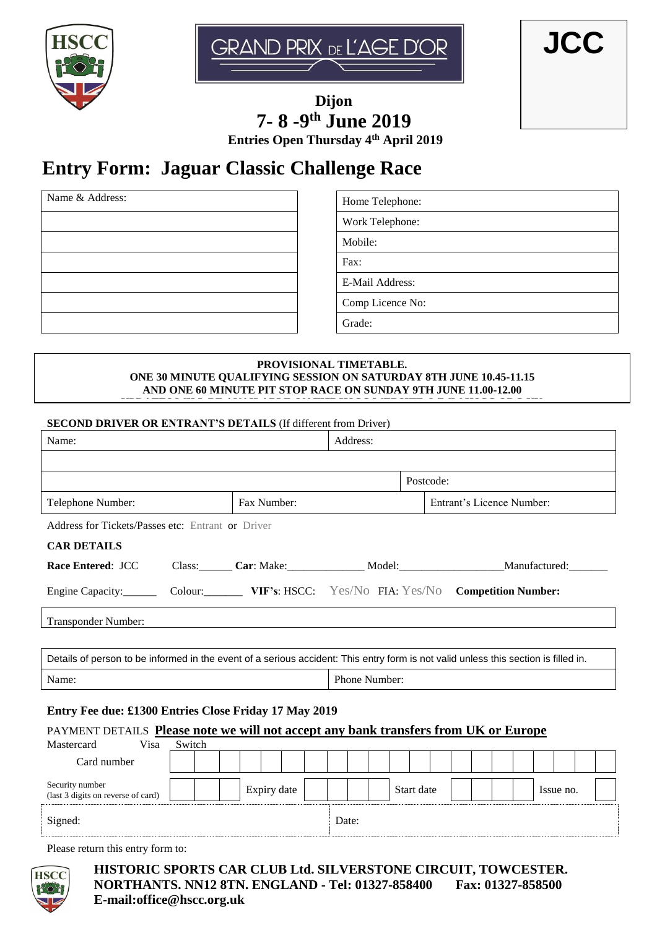



**JCC**

**Dijon 7- 8 -9 th June 2019 Entries Open Thursday 4th April 2019**

# **Entry Form: Jaguar Classic Challenge Race**

Name & Address:  $\blacksquare$  Home Telephone:

Work Telephone:

Mobile:

Fax:

E-Mail Address:

Comp Licence No:

Grade:

#### **PROVISIONAL TIMETABLE. ONE 30 MINUTE QUALIFYING SESSION ON SATURDAY 8TH JUNE 10.45-11.15 AND ONE 60 MINUTE PIT STOP RACE ON SUNDAY 9TH JUNE 11.00-12.00**

**UPDATES WILL BE AVAILABLE ON THE HSCC WEBSITE. WWW.HSCC.ORG.UK**

## **SECOND DRIVER OR ENTRANT'S DETAILS** (If different from Driver)

| Name:                                                                                                                                        |        |  |  |             |  | Address:      |           |  |  |                                                             |  |  |  |           |  |  |  |  |  |
|----------------------------------------------------------------------------------------------------------------------------------------------|--------|--|--|-------------|--|---------------|-----------|--|--|-------------------------------------------------------------|--|--|--|-----------|--|--|--|--|--|
|                                                                                                                                              |        |  |  |             |  |               |           |  |  |                                                             |  |  |  |           |  |  |  |  |  |
|                                                                                                                                              |        |  |  |             |  |               | Postcode: |  |  |                                                             |  |  |  |           |  |  |  |  |  |
| Telephone Number:                                                                                                                            |        |  |  | Fax Number: |  |               |           |  |  | Entrant's Licence Number:                                   |  |  |  |           |  |  |  |  |  |
| Address for Tickets/Passes etc: Entrant or Driver                                                                                            |        |  |  |             |  |               |           |  |  |                                                             |  |  |  |           |  |  |  |  |  |
| <b>CAR DETAILS</b>                                                                                                                           |        |  |  |             |  |               |           |  |  |                                                             |  |  |  |           |  |  |  |  |  |
| Race Entered: JCC                                                                                                                            |        |  |  |             |  |               |           |  |  | Class: Car: Make: Model: Model: Manufactured: Manufactured: |  |  |  |           |  |  |  |  |  |
| Engine Capacity: Colour: VIF's: HSCC: Yes/No FIA: Yes/No Competition Number:                                                                 |        |  |  |             |  |               |           |  |  |                                                             |  |  |  |           |  |  |  |  |  |
| Transponder Number:                                                                                                                          |        |  |  |             |  |               |           |  |  |                                                             |  |  |  |           |  |  |  |  |  |
|                                                                                                                                              |        |  |  |             |  |               |           |  |  |                                                             |  |  |  |           |  |  |  |  |  |
| Details of person to be informed in the event of a serious accident: This entry form is not valid unless this section is filled in.          |        |  |  |             |  |               |           |  |  |                                                             |  |  |  |           |  |  |  |  |  |
| Name:                                                                                                                                        |        |  |  |             |  | Phone Number: |           |  |  |                                                             |  |  |  |           |  |  |  |  |  |
| Entry Fee due: £1300 Entries Close Friday 17 May 2019<br>PAYMENT DETAILS Please note we will not accept any bank transfers from UK or Europe |        |  |  |             |  |               |           |  |  |                                                             |  |  |  |           |  |  |  |  |  |
| Mastercard<br>Visa                                                                                                                           | Switch |  |  |             |  |               |           |  |  |                                                             |  |  |  |           |  |  |  |  |  |
| Card number                                                                                                                                  |        |  |  |             |  |               |           |  |  |                                                             |  |  |  |           |  |  |  |  |  |
| Security number<br>(last 3 digits on reverse of card)                                                                                        |        |  |  | Expiry date |  |               |           |  |  | Start date                                                  |  |  |  | Issue no. |  |  |  |  |  |
| Signed:                                                                                                                                      |        |  |  |             |  |               | Date:     |  |  |                                                             |  |  |  |           |  |  |  |  |  |
| Please return this entry form to:                                                                                                            |        |  |  |             |  |               |           |  |  |                                                             |  |  |  |           |  |  |  |  |  |

**HSC** 

**HISTORIC SPORTS CAR CLUB Ltd. SILVERSTONE CIRCUIT, TOWCESTER. NORTHANTS. NN12 8TN. ENGLAND - Tel: 01327-858400 Fax: 01327-858500 E-mail:office@hscc.org.uk**